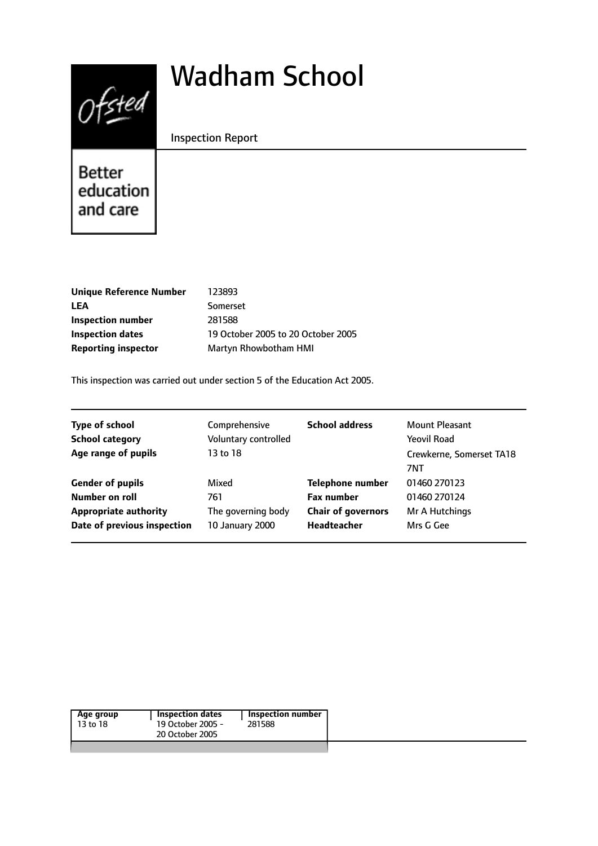# $0$ fsted

# Wadham School

# Inspection Report

Better education and care

| <b>Unique Reference Number</b> | 123893                             |
|--------------------------------|------------------------------------|
| LEA                            | Somerset                           |
| Inspection number              | 281588                             |
| Inspection dates               | 19 October 2005 to 20 October 2005 |
| <b>Reporting inspector</b>     | Martyn Rhowbotham HMI              |

This inspection was carried out under section 5 of the Education Act 2005.

| <b>Type of school</b><br><b>School category</b><br>Age range of pupils | Comprehensive<br>Voluntary controlled<br>13 to 18 | <b>School address</b>     | Mount Pleasant<br><b>Yeovil Road</b><br>Crewkerne, Somerset TA18<br>7NT |
|------------------------------------------------------------------------|---------------------------------------------------|---------------------------|-------------------------------------------------------------------------|
| <b>Gender of pupils</b>                                                | Mixed                                             | <b>Telephone number</b>   | 01460 270123                                                            |
| Number on roll                                                         | 761                                               | <b>Fax number</b>         | 01460 270124                                                            |
| <b>Appropriate authority</b>                                           | The governing body                                | <b>Chair of governors</b> | Mr A Hutchings                                                          |
| Date of previous inspection                                            | 10 January 2000                                   | <b>Headteacher</b>        | Mrs G Gee                                                               |

| <b>Inspection dates</b><br>Inspection number<br>Age group<br>19 October 2005 -<br>13 to 18<br>281588<br>20 October 2005 |  |
|-------------------------------------------------------------------------------------------------------------------------|--|
|-------------------------------------------------------------------------------------------------------------------------|--|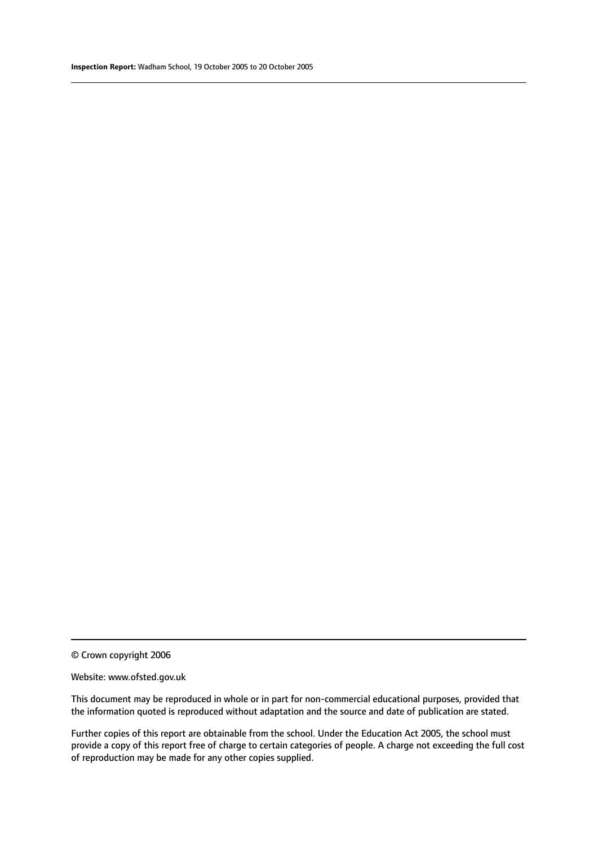#### Website: www.ofsted.gov.uk

This document may be reproduced in whole or in part for non-commercial educational purposes, provided that the information quoted is reproduced without adaptation and the source and date of publication are stated.

Further copies of this report are obtainable from the school. Under the Education Act 2005, the school must provide a copy of this report free of charge to certain categories of people. A charge not exceeding the full cost of reproduction may be made for any other copies supplied.

<sup>©</sup> Crown copyright 2006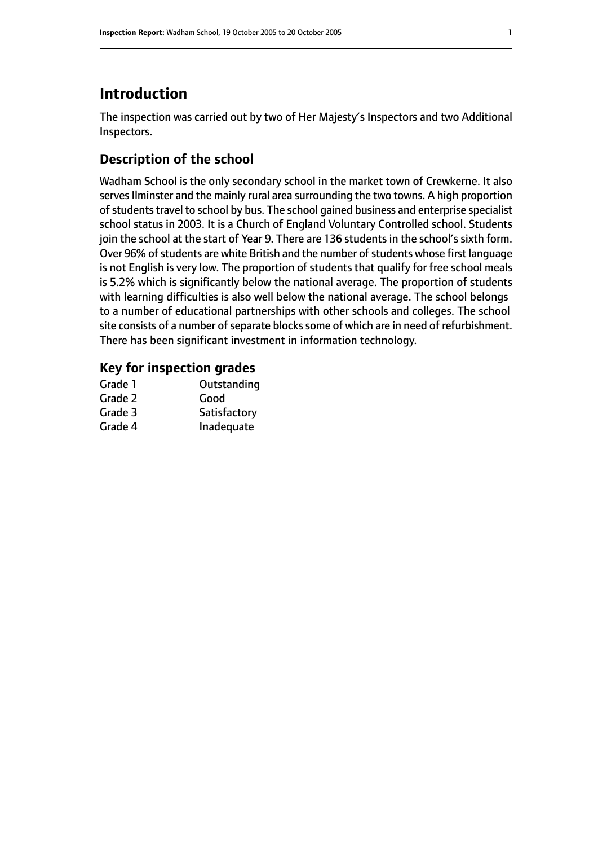# **Introduction**

The inspection was carried out by two of Her Majesty's Inspectors and two Additional Inspectors.

## **Description of the school**

Wadham School is the only secondary school in the market town of Crewkerne. It also serves Ilminster and the mainly rural area surrounding the two towns. A high proportion of students travel to school by bus. The school gained business and enterprise specialist school status in 2003. It is a Church of England Voluntary Controlled school. Students join the school at the start of Year 9. There are 136 students in the school's sixth form. Over 96% of students are white British and the number of students whose first language is not English is very low. The proportion of students that qualify for free school meals is 5.2% which is significantly below the national average. The proportion of students with learning difficulties is also well below the national average. The school belongs to a number of educational partnerships with other schools and colleges. The school site consists of a number of separate blocks some of which are in need of refurbishment. There has been significant investment in information technology.

#### **Key for inspection grades**

| Grade 1 | Outstanding  |
|---------|--------------|
| Grade 2 | Good         |
| Grade 3 | Satisfactory |
| Grade 4 | Inadequate   |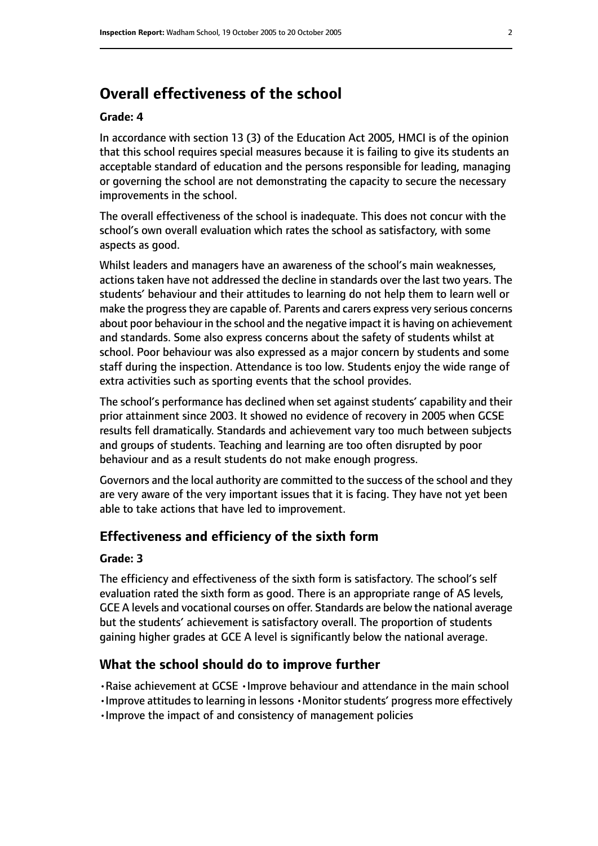# **Overall effectiveness of the school**

#### **Grade: 4**

In accordance with section 13 (3) of the Education Act 2005, HMCI is of the opinion that this school requires special measures because it is failing to give its students an acceptable standard of education and the persons responsible for leading, managing or governing the school are not demonstrating the capacity to secure the necessary improvements in the school.

The overall effectiveness of the school is inadequate. This does not concur with the school's own overall evaluation which rates the school as satisfactory, with some aspects as good.

Whilst leaders and managers have an awareness of the school's main weaknesses, actions taken have not addressed the decline in standards over the last two years. The students' behaviour and their attitudes to learning do not help them to learn well or make the progress they are capable of. Parents and carers express very serious concerns about poor behaviour in the school and the negative impact it is having on achievement and standards. Some also express concerns about the safety of students whilst at school. Poor behaviour was also expressed as a major concern by students and some staff during the inspection. Attendance is too low. Students enjoy the wide range of extra activities such as sporting events that the school provides.

The school's performance has declined when set against students' capability and their prior attainment since 2003. It showed no evidence of recovery in 2005 when GCSE results fell dramatically. Standards and achievement vary too much between subjects and groups of students. Teaching and learning are too often disrupted by poor behaviour and as a result students do not make enough progress.

Governors and the local authority are committed to the success of the school and they are very aware of the very important issues that it is facing. They have not yet been able to take actions that have led to improvement.

#### **Effectiveness and efficiency of the sixth form**

#### **Grade: 3**

The efficiency and effectiveness of the sixth form is satisfactory. The school's self evaluation rated the sixth form as good. There is an appropriate range of AS levels, GCE A levels and vocational courses on offer. Standards are below the national average but the students' achievement is satisfactory overall. The proportion of students gaining higher grades at GCE A level is significantly below the national average.

#### **What the school should do to improve further**

•Raise achievement at GCSE •Improve behaviour and attendance in the main school

- •Improve attitudes to learning in lessons •Monitor students' progress more effectively
- •Improve the impact of and consistency of management policies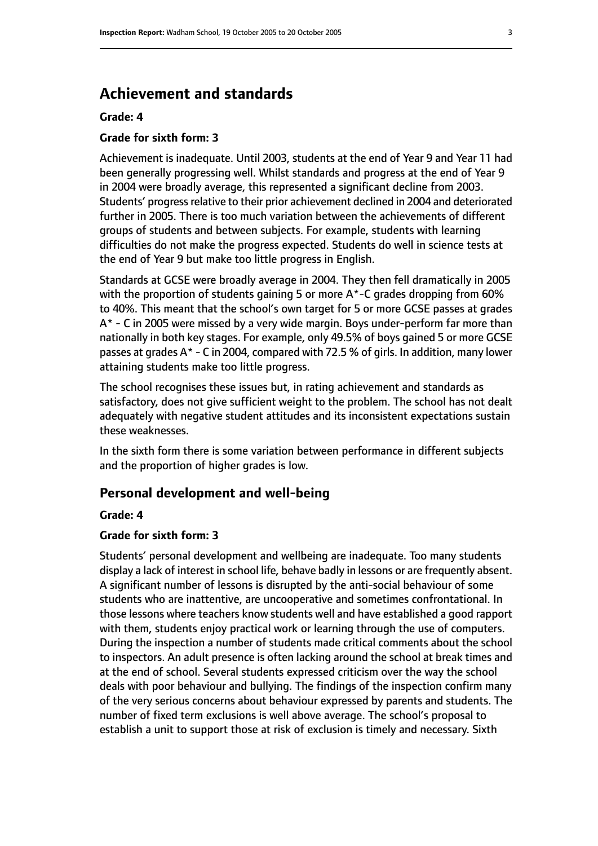# **Achievement and standards**

#### **Grade: 4**

#### **Grade for sixth form: 3**

Achievement is inadequate. Until 2003, students at the end of Year 9 and Year 11 had been generally progressing well. Whilst standards and progress at the end of Year 9 in 2004 were broadly average, this represented a significant decline from 2003. Students' progress relative to their prior achievement declined in 2004 and deteriorated further in 2005. There is too much variation between the achievements of different groups of students and between subjects. For example, students with learning difficulties do not make the progress expected. Students do well in science tests at the end of Year 9 but make too little progress in English.

Standards at GCSE were broadly average in 2004. They then fell dramatically in 2005 with the proportion of students gaining 5 or more A\*-C grades dropping from 60% to 40%. This meant that the school's own target for 5 or more GCSE passes at grades A\* - C in 2005 were missed by a very wide margin. Boys under-perform far more than nationally in both key stages. For example, only 49.5% of boys gained 5 or more GCSE passes at grades A\* - C in 2004, compared with 72.5 % of girls. In addition, many lower attaining students make too little progress.

The school recognises these issues but, in rating achievement and standards as satisfactory, does not give sufficient weight to the problem. The school has not dealt adequately with negative student attitudes and its inconsistent expectations sustain these weaknesses.

In the sixth form there is some variation between performance in different subjects and the proportion of higher grades is low.

#### **Personal development and well-being**

#### **Grade: 4**

#### **Grade for sixth form: 3**

Students' personal development and wellbeing are inadequate. Too many students display a lack of interest in school life, behave badly in lessons or are frequently absent. A significant number of lessons is disrupted by the anti-social behaviour of some students who are inattentive, are uncooperative and sometimes confrontational. In those lessons where teachers know students well and have established a good rapport with them, students enjoy practical work or learning through the use of computers. During the inspection a number of students made critical comments about the school to inspectors. An adult presence is often lacking around the school at break times and at the end of school. Several students expressed criticism over the way the school deals with poor behaviour and bullying. The findings of the inspection confirm many of the very serious concerns about behaviour expressed by parents and students. The number of fixed term exclusions is well above average. The school's proposal to establish a unit to support those at risk of exclusion is timely and necessary. Sixth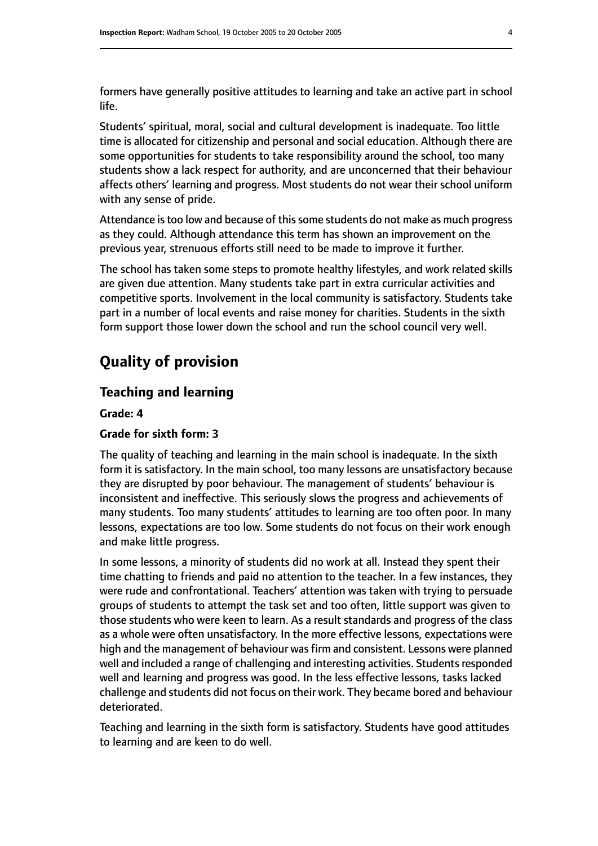formers have generally positive attitudes to learning and take an active part in school life.

Students' spiritual, moral, social and cultural development is inadequate. Too little time is allocated for citizenship and personal and social education. Although there are some opportunities for students to take responsibility around the school, too many students show a lack respect for authority, and are unconcerned that their behaviour affects others' learning and progress. Most students do not wear their school uniform with any sense of pride.

Attendance istoo low and because of thissome students do not make as much progress as they could. Although attendance this term has shown an improvement on the previous year, strenuous efforts still need to be made to improve it further.

The school has taken some steps to promote healthy lifestyles, and work related skills are given due attention. Many students take part in extra curricular activities and competitive sports. Involvement in the local community is satisfactory. Students take part in a number of local events and raise money for charities. Students in the sixth form support those lower down the school and run the school council very well.

# **Quality of provision**

#### **Teaching and learning**

**Grade: 4**

#### **Grade for sixth form: 3**

The quality of teaching and learning in the main school is inadequate. In the sixth form it is satisfactory. In the main school, too many lessons are unsatisfactory because they are disrupted by poor behaviour. The management of students' behaviour is inconsistent and ineffective. This seriously slows the progress and achievements of many students. Too many students' attitudes to learning are too often poor. In many lessons, expectations are too low. Some students do not focus on their work enough and make little progress.

In some lessons, a minority of students did no work at all. Instead they spent their time chatting to friends and paid no attention to the teacher. In a few instances, they were rude and confrontational. Teachers' attention was taken with trying to persuade groups of students to attempt the task set and too often, little support was given to those students who were keen to learn. As a result standards and progress of the class as a whole were often unsatisfactory. In the more effective lessons, expectations were high and the management of behaviour was firm and consistent. Lessons were planned well and included a range of challenging and interesting activities. Students responded well and learning and progress was good. In the less effective lessons, tasks lacked challenge and students did not focus on their work. They became bored and behaviour deteriorated.

Teaching and learning in the sixth form is satisfactory. Students have good attitudes to learning and are keen to do well.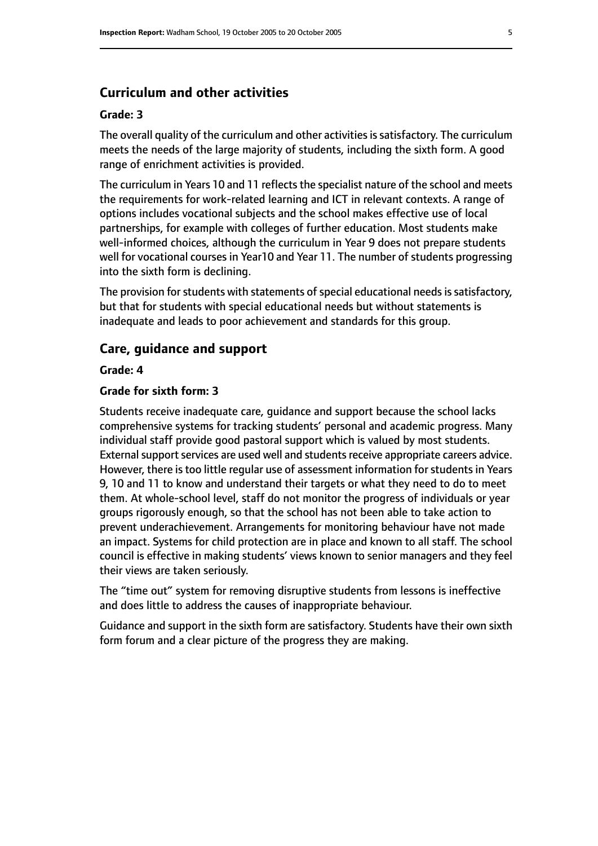#### **Curriculum and other activities**

#### **Grade: 3**

The overall quality of the curriculum and other activities is satisfactory. The curriculum meets the needs of the large majority of students, including the sixth form. A good range of enrichment activities is provided.

The curriculum in Years 10 and 11 reflects the specialist nature of the school and meets the requirements for work-related learning and ICT in relevant contexts. A range of options includes vocational subjects and the school makes effective use of local partnerships, for example with colleges of further education. Most students make well-informed choices, although the curriculum in Year 9 does not prepare students well for vocational courses in Year10 and Year 11. The number of students progressing into the sixth form is declining.

The provision for students with statements of special educational needs is satisfactory, but that for students with special educational needs but without statements is inadequate and leads to poor achievement and standards for this group.

#### **Care, guidance and support**

#### **Grade: 4**

#### **Grade for sixth form: 3**

Students receive inadequate care, guidance and support because the school lacks comprehensive systems for tracking students' personal and academic progress. Many individual staff provide good pastoral support which is valued by most students. External support services are used well and students receive appropriate careers advice. However, there is too little regular use of assessment information for students in Years 9, 10 and 11 to know and understand their targets or what they need to do to meet them. At whole-school level, staff do not monitor the progress of individuals or year groups rigorously enough, so that the school has not been able to take action to prevent underachievement. Arrangements for monitoring behaviour have not made an impact. Systems for child protection are in place and known to all staff. The school council is effective in making students' views known to senior managers and they feel their views are taken seriously.

The "time out" system for removing disruptive students from lessons is ineffective and does little to address the causes of inappropriate behaviour.

Guidance and support in the sixth form are satisfactory. Students have their own sixth form forum and a clear picture of the progress they are making.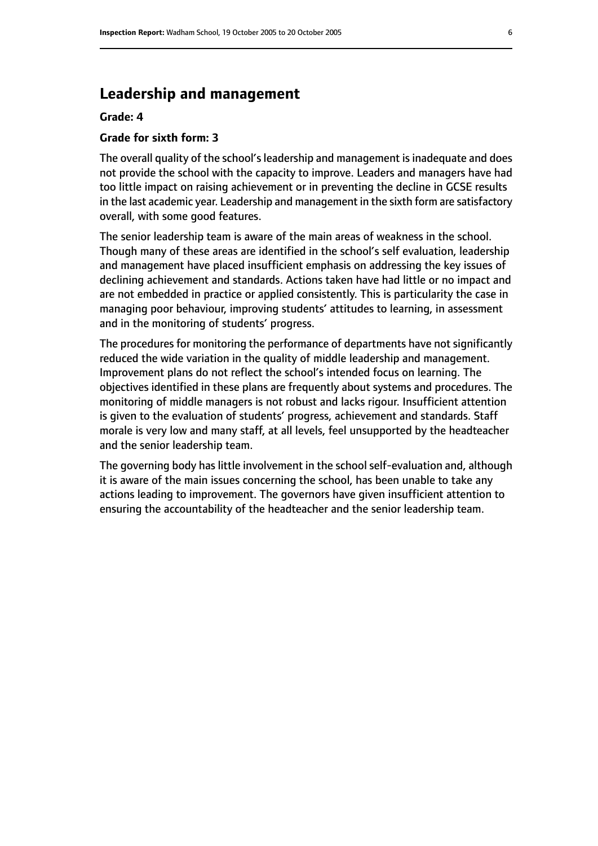# **Leadership and management**

#### **Grade: 4**

#### **Grade for sixth form: 3**

The overall quality of the school's leadership and management is inadequate and does not provide the school with the capacity to improve. Leaders and managers have had too little impact on raising achievement or in preventing the decline in GCSE results in the last academic year. Leadership and management in the sixth form are satisfactory overall, with some good features.

The senior leadership team is aware of the main areas of weakness in the school. Though many of these areas are identified in the school's self evaluation, leadership and management have placed insufficient emphasis on addressing the key issues of declining achievement and standards. Actions taken have had little or no impact and are not embedded in practice or applied consistently. This is particularity the case in managing poor behaviour, improving students' attitudes to learning, in assessment and in the monitoring of students' progress.

The procedures for monitoring the performance of departments have not significantly reduced the wide variation in the quality of middle leadership and management. Improvement plans do not reflect the school's intended focus on learning. The objectives identified in these plans are frequently about systems and procedures. The monitoring of middle managers is not robust and lacks rigour. Insufficient attention is given to the evaluation of students' progress, achievement and standards. Staff morale is very low and many staff, at all levels, feel unsupported by the headteacher and the senior leadership team.

The governing body has little involvement in the school self-evaluation and, although it is aware of the main issues concerning the school, has been unable to take any actions leading to improvement. The governors have given insufficient attention to ensuring the accountability of the headteacher and the senior leadership team.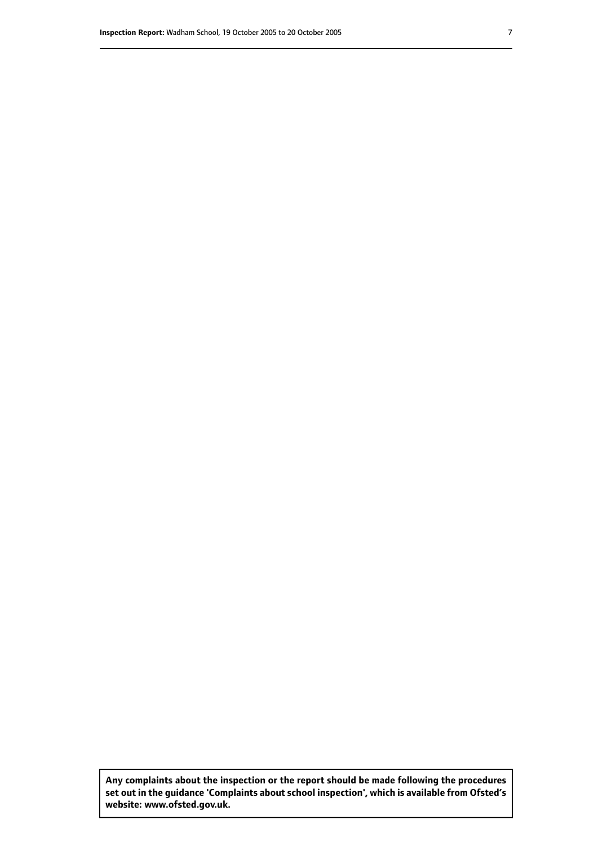**Any complaints about the inspection or the report should be made following the procedures set out inthe guidance 'Complaints about school inspection', whichis available from Ofsted's website: www.ofsted.gov.uk.**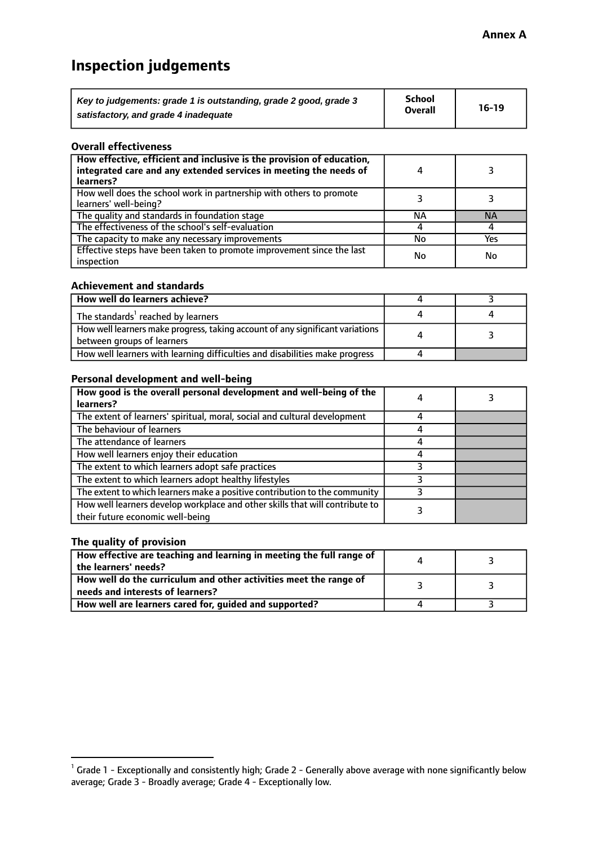# **Inspection judgements**

| Key to judgements: grade 1 is outstanding, grade 2 good, grade 3 | <b>School</b>  | $16-19$ |
|------------------------------------------------------------------|----------------|---------|
| satisfactory, and grade 4 inadequate                             | <b>Overall</b> |         |

#### **Overall effectiveness**

| How effective, efficient and inclusive is the provision of education,<br>integrated care and any extended services in meeting the needs of<br>learners? |    |           |
|---------------------------------------------------------------------------------------------------------------------------------------------------------|----|-----------|
| How well does the school work in partnership with others to promote<br>learners' well-being?                                                            |    |           |
| The quality and standards in foundation stage                                                                                                           | ΝA | <b>NA</b> |
| The effectiveness of the school's self-evaluation                                                                                                       |    |           |
| The capacity to make any necessary improvements                                                                                                         | No | Yes       |
| Effective steps have been taken to promote improvement since the last<br>inspection                                                                     | No | No        |

#### **Achievement and standards**

| How well do learners achieve?                                                                                 |  |
|---------------------------------------------------------------------------------------------------------------|--|
| The standards <sup>1</sup> reached by learners                                                                |  |
| How well learners make progress, taking account of any significant variations  <br>between groups of learners |  |
| How well learners with learning difficulties and disabilities make progress                                   |  |

#### **Personal development and well-being**

| How good is the overall personal development and well-being of the                                               |  |
|------------------------------------------------------------------------------------------------------------------|--|
| learners?                                                                                                        |  |
| The extent of learners' spiritual, moral, social and cultural development                                        |  |
| The behaviour of learners                                                                                        |  |
| The attendance of learners                                                                                       |  |
| How well learners enjoy their education                                                                          |  |
| The extent to which learners adopt safe practices                                                                |  |
| The extent to which learners adopt healthy lifestyles                                                            |  |
| The extent to which learners make a positive contribution to the community                                       |  |
| How well learners develop workplace and other skills that will contribute to<br>their future economic well-being |  |

#### **The quality of provision**

| How effective are teaching and learning in meeting the full range of<br>the learners' needs? |  |
|----------------------------------------------------------------------------------------------|--|
|                                                                                              |  |
| How well do the curriculum and other activities meet the range of                            |  |
| needs and interests of learners?                                                             |  |
| How well are learners cared for, guided and supported?                                       |  |

 $^1$  Grade 1 - Exceptionally and consistently high; Grade 2 - Generally above average with none significantly below average; Grade 3 - Broadly average; Grade 4 - Exceptionally low.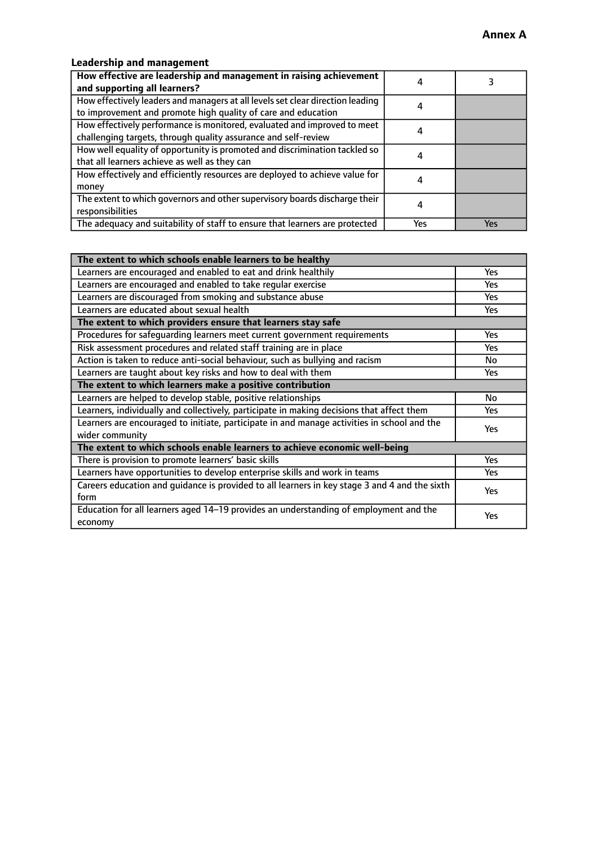## **Leadership and management**

| How effective are leadership and management in raising achievement<br>and supporting all learners? |     |     |
|----------------------------------------------------------------------------------------------------|-----|-----|
|                                                                                                    |     |     |
| How effectively leaders and managers at all levels set clear direction leading                     |     |     |
| to improvement and promote high quality of care and education                                      |     |     |
| How effectively performance is monitored, evaluated and improved to meet                           |     |     |
| challenging targets, through quality assurance and self-review                                     |     |     |
| How well equality of opportunity is promoted and discrimination tackled so                         |     |     |
| that all learners achieve as well as they can                                                      |     |     |
| How effectively and efficiently resources are deployed to achieve value for                        | 4   |     |
| money                                                                                              |     |     |
| The extent to which governors and other supervisory boards discharge their                         |     |     |
| responsibilities                                                                                   |     |     |
| The adequacy and suitability of staff to ensure that learners are protected                        | Yes | Yes |

| The extent to which schools enable learners to be healthy                                     |            |
|-----------------------------------------------------------------------------------------------|------------|
| Learners are encouraged and enabled to eat and drink healthily                                | Yes        |
| Learners are encouraged and enabled to take regular exercise                                  | <b>Yes</b> |
| Learners are discouraged from smoking and substance abuse                                     | Yes        |
| Learners are educated about sexual health                                                     | Yes        |
| The extent to which providers ensure that learners stay safe                                  |            |
| Procedures for safequarding learners meet current government requirements                     | Yes        |
| Risk assessment procedures and related staff training are in place                            | <b>Yes</b> |
| Action is taken to reduce anti-social behaviour, such as bullying and racism                  | No         |
| Learners are taught about key risks and how to deal with them                                 | Yes        |
| The extent to which learners make a positive contribution                                     |            |
| Learners are helped to develop stable, positive relationships                                 | No         |
| Learners, individually and collectively, participate in making decisions that affect them     | <b>Yes</b> |
| Learners are encouraged to initiate, participate in and manage activities in school and the   | Yes        |
| wider community                                                                               |            |
| The extent to which schools enable learners to achieve economic well-being                    |            |
| There is provision to promote learners' basic skills                                          | Yes        |
| Learners have opportunities to develop enterprise skills and work in teams                    | Yes        |
| Careers education and quidance is provided to all learners in key stage 3 and 4 and the sixth | Yes        |
| form                                                                                          |            |
| Education for all learners aged 14-19 provides an understanding of employment and the         | Yes        |
| economy                                                                                       |            |